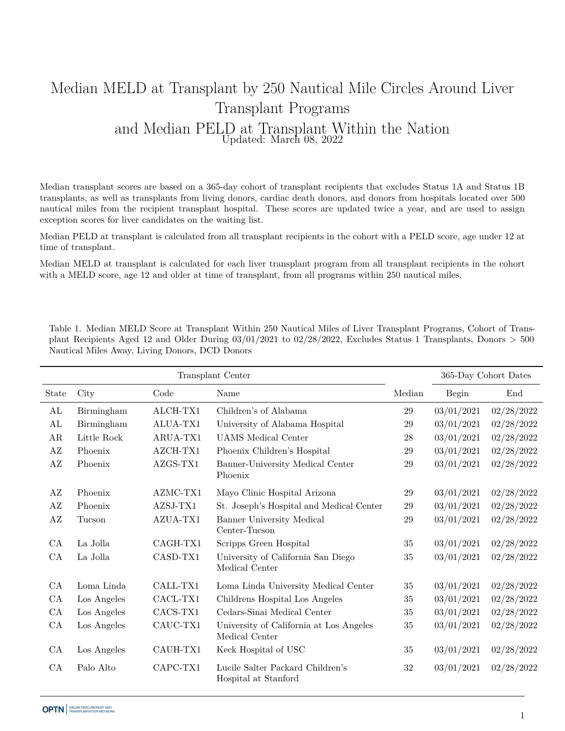## Median MELD at Transplant by 250 Nautical Mile Circles Around Liver Transplant Programs and Median PELD at Transplant Within the Nation Updated: March 08, 2022

Median transplant scores are based on a 365-day cohort of transplant recipients that excludes Status 1A and Status 1B transplants, as well as transplants from living donors, cardiac death donors, and donors from hospitals located over 500 nautical miles from the recipient transplant hospital. These scores are updated twice a year, and are used to assign exception scores for liver candidates on the waiting list.

Median PELD at transplant is calculated from all transplant recipients in the cohort with a PELD score, age under 12 at time of transplant.

Median MELD at transplant is calculated for each liver transplant program from all transplant recipients in the cohort with a MELD score, age 12 and older at time of transplant, from all programs within 250 nautical miles.

Table 1. Median MELD Score at Transplant Within 250 Nautical Miles of Liver Transplant Programs, Cohort of Transplant Recipients Aged 12 and Older During 03/01/2021 to 02/28/2022, Excludes Status 1 Transplants, Donors > 500 Nautical Miles Away, Living Donors, DCD Donors

|                        |             |          | Transplant Center                                         |        |            | 365-Day Cohort Dates |
|------------------------|-------------|----------|-----------------------------------------------------------|--------|------------|----------------------|
| State                  | City        | Code     | Name                                                      | Median | Begin      | End                  |
| AL                     | Birmingham  | ALCH-TX1 | Children's of Alabama                                     | $29\,$ | 03/01/2021 | 02/28/2022           |
| AL                     | Birmingham  | ALUA-TX1 | University of Alabama Hospital                            | 29     | 03/01/2021 | 02/28/2022           |
| AR                     | Little Rock | ARUA-TX1 | <b>UAMS</b> Medical Center                                | 28     | 03/01/2021 | 02/28/2022           |
| AZ                     | Phoenix     | AZCH-TX1 | Phoenix Children's Hospital                               | 29     | 03/01/2021 | 02/28/2022           |
| $\mathbf{A}\mathbf{Z}$ | Phoenix     | AZGS-TX1 | Banner-University Medical Center<br>Phoenix               | 29     | 03/01/2021 | 02/28/2022           |
| AZ                     | Phoenix     | AZMC-TX1 | Mayo Clinic Hospital Arizona                              | 29     | 03/01/2021 | 02/28/2022           |
| AZ                     | Phoenix     | AZSJ-TX1 | St. Joseph's Hospital and Medical Center                  | 29     | 03/01/2021 | 02/28/2022           |
| $\rm AZ$               | Tucson      | AZUA-TX1 | Banner University Medical<br>Center-Tucson                | 29     | 03/01/2021 | 02/28/2022           |
| CA                     | La Jolla    | CAGH-TX1 | Scripps Green Hospital                                    | $35\,$ | 03/01/2021 | 02/28/2022           |
| CA                     | La Jolla    | CASD-TX1 | University of California San Diego<br>Medical Center      | 35     | 03/01/2021 | 02/28/2022           |
| CA                     | Loma Linda  | CALL-TX1 | Loma Linda University Medical Center                      | 35     | 03/01/2021 | 02/28/2022           |
| CA                     | Los Angeles | CACL-TX1 | Childrens Hospital Los Angeles                            | $35\,$ | 03/01/2021 | 02/28/2022           |
| CA                     | Los Angeles | CACS-TX1 | Cedars-Sinai Medical Center                               | $35\,$ | 03/01/2021 | 02/28/2022           |
| CA                     | Los Angeles | CAUC-TX1 | University of California at Los Angeles<br>Medical Center | $35\,$ | 03/01/2021 | 02/28/2022           |
| CA                     | Los Angeles | CAUH-TX1 | Keck Hospital of USC                                      | 35     | 03/01/2021 | 02/28/2022           |
| CA                     | Palo Alto   | CAPC-TX1 | Lucile Salter Packard Children's<br>Hospital at Stanford  | 32     | 03/01/2021 | 02/28/2022           |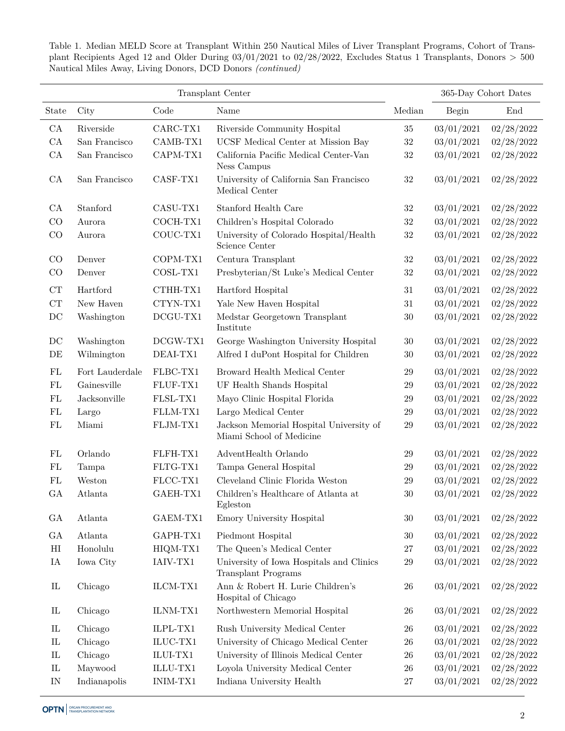Table 1. Median MELD Score at Transplant Within 250 Nautical Miles of Liver Transplant Programs, Cohort of Transplant Recipients Aged 12 and Older During 03/01/2021 to 02/28/2022, Excludes Status 1 Transplants, Donors > 500 Nautical Miles Away, Living Donors, DCD Donors *(continued)*

|                                 | Transplant Center |            |                                                                        | 365-Day Cohort Dates |            |            |
|---------------------------------|-------------------|------------|------------------------------------------------------------------------|----------------------|------------|------------|
| State                           | City              | Code       | Name                                                                   | Median               | Begin      | End        |
| ${\rm CA}$                      | Riverside         | CARC-TX1   | Riverside Community Hospital                                           | 35                   | 03/01/2021 | 02/28/2022 |
| ${\rm CA}$                      | San Francisco     | CAMB-TX1   | UCSF Medical Center at Mission Bay                                     | 32                   | 03/01/2021 | 02/28/2022 |
| CA                              | San Francisco     | CAPM-TX1   | California Pacific Medical Center-Van<br>Ness Campus                   | $32\,$               | 03/01/2021 | 02/28/2022 |
| CA                              | San Francisco     | CASF-TX1   | University of California San Francisco<br>Medical Center               | $32\,$               | 03/01/2021 | 02/28/2022 |
| CA                              | Stanford          | CASU-TX1   | Stanford Health Care                                                   | $32\,$               | 03/01/2021 | 02/28/2022 |
| CO                              | Aurora            | COCH-TX1   | Children's Hospital Colorado                                           | $32\,$               | 03/01/2021 | 02/28/2022 |
| CO                              | Aurora            | COUC-TX1   | University of Colorado Hospital/Health<br>Science Center               | $32\,$               | 03/01/2021 | 02/28/2022 |
| CO                              | Denver            | COPM-TX1   | Centura Transplant                                                     | $32\,$               | 03/01/2021 | 02/28/2022 |
| CO                              | Denver            | $COSL-TX1$ | Presbyterian/St Luke's Medical Center                                  | $32\,$               | 03/01/2021 | 02/28/2022 |
| CT                              | Hartford          | CTHH-TX1   | Hartford Hospital                                                      | 31                   | 03/01/2021 | 02/28/2022 |
| ${\cal CT}$                     | New Haven         | CTYN-TX1   | Yale New Haven Hospital                                                | $31\,$               | 03/01/2021 | 02/28/2022 |
| $\operatorname{DC}$             | Washington        | $DCGU-TX1$ | Medstar Georgetown Transplant<br>Institute                             | 30                   | 03/01/2021 | 02/28/2022 |
| DC                              | Washington        | $DCGW-TX1$ | George Washington University Hospital                                  | $30\,$               | 03/01/2021 | 02/28/2022 |
| DE                              | Wilmington        | DEAI-TX1   | Alfred I duPont Hospital for Children                                  | $30\,$               | 03/01/2021 | 02/28/2022 |
| ${\rm FL}$                      | Fort Lauderdale   | FLBC-TX1   | Broward Health Medical Center                                          | 29                   | 03/01/2021 | 02/28/2022 |
| ${\rm FL}$                      | Gainesville       | FLUF-TX1   | UF Health Shands Hospital                                              | $29\,$               | 03/01/2021 | 02/28/2022 |
| ${\rm FL}$                      | Jacksonville      | FLSL-TX1   | Mayo Clinic Hospital Florida                                           | $29\,$               | 03/01/2021 | 02/28/2022 |
| FL                              | Largo             | FLLM-TX1   | Largo Medical Center                                                   | $\,29$               | 03/01/2021 | 02/28/2022 |
| ${\rm FL}$                      | Miami             | FLJM-TX1   | Jackson Memorial Hospital University of<br>Miami School of Medicine    | $\,29$               | 03/01/2021 | 02/28/2022 |
| FL                              | Orlando           | FLFH-TX1   | AdventHealth Orlando                                                   | 29                   | 03/01/2021 | 02/28/2022 |
| FL                              | Tampa             | FLTG-TX1   | Tampa General Hospital                                                 | 29                   | 03/01/2021 | 02/28/2022 |
| ${\rm FL}$                      | Weston            | $FLCC-TX1$ | Cleveland Clinic Florida Weston                                        | 29                   | 03/01/2021 | 02/28/2022 |
| GA                              | Atlanta           | GAEH-TX1   | Children's Healthcare of Atlanta at<br>Egleston                        | $30\,$               | 03/01/2021 | 02/28/2022 |
| GA                              | Atlanta           | GAEM-TX1   | Emory University Hospital                                              | 30                   | 03/01/2021 | 02/28/2022 |
| ${\rm GA}$                      | Atlanta           | GAPH-TX1   | Piedmont Hospital                                                      | $30\,$               | 03/01/2021 | 02/28/2022 |
| $\rm HI$                        | Honolulu          | HIQM-TX1   | The Queen's Medical Center                                             | $27\,$               | 03/01/2021 | 02/28/2022 |
| IA                              | Iowa City         | IAIV-TX1   | University of Iowa Hospitals and Clinics<br><b>Transplant Programs</b> | 29                   | 03/01/2021 | 02/28/2022 |
| ${\rm IL}$                      | Chicago           | ILCM-TX1   | Ann & Robert H. Lurie Children's<br>Hospital of Chicago                | $26\,$               | 03/01/2021 | 02/28/2022 |
| $\mathop{\rm IL}\nolimits$      | Chicago           | ILNM-TX1   | Northwestern Memorial Hospital                                         | 26                   | 03/01/2021 | 02/28/2022 |
| ${\rm IL}$                      | Chicago           | ILPL-TX1   | Rush University Medical Center                                         | 26                   | 03/01/2021 | 02/28/2022 |
| ${\rm IL}$                      | Chicago           | $ILUC-TX1$ | University of Chicago Medical Center                                   | $26\,$               | 03/01/2021 | 02/28/2022 |
| $\mathop{\mathrm{IL}}\nolimits$ | Chicago           | $ILUI-TX1$ | University of Illinois Medical Center                                  | $26\,$               | 03/01/2021 | 02/28/2022 |
| ${\rm IL}$                      | Maywood           | ILLU-TX1   | Loyola University Medical Center                                       | $26\,$               | 03/01/2021 | 02/28/2022 |
| $\ensuremath{\text{IN}}$        | Indianapolis      | INIM-TX1   | Indiana University Health                                              | $27\,$               | 03/01/2021 | 02/28/2022 |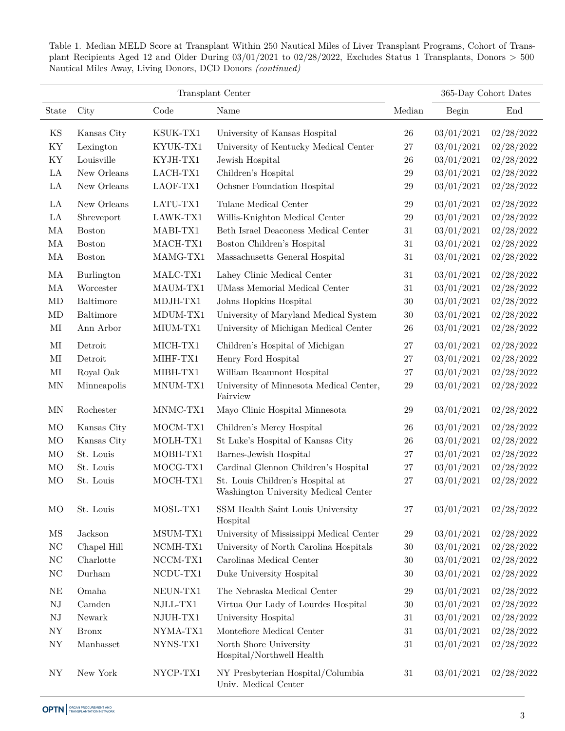| Transplant Center |               |            |                                                                          |        | 365-Day Cohort Dates |            |
|-------------------|---------------|------------|--------------------------------------------------------------------------|--------|----------------------|------------|
| State             | City          | Code       | Name                                                                     | Median | Begin                | End        |
| KS                | Kansas City   | KSUK-TX1   | University of Kansas Hospital                                            | 26     | 03/01/2021           | 02/28/2022 |
| KY                | Lexington     | KYUK-TX1   | University of Kentucky Medical Center                                    | 27     | 03/01/2021           | 02/28/2022 |
| KY                | Louisville    | KYJH-TX1   | Jewish Hospital                                                          | 26     | 03/01/2021           | 02/28/2022 |
| LA                | New Orleans   | LACH-TX1   | Children's Hospital                                                      | 29     | 03/01/2021           | 02/28/2022 |
| LA                | New Orleans   | LAOF-TX1   | Ochsner Foundation Hospital                                              | 29     | 03/01/2021           | 02/28/2022 |
| LA                | New Orleans   | LATU-TX1   | Tulane Medical Center                                                    | 29     | 03/01/2021           | 02/28/2022 |
| $\rm{LA}$         | Shreveport    | LAWK-TX1   | Willis-Knighton Medical Center                                           | 29     | 03/01/2021           | 02/28/2022 |
| $\rm MA$          | <b>Boston</b> | MABI-TX1   | Beth Israel Deaconess Medical Center                                     | 31     | 03/01/2021           | 02/28/2022 |
| MA                | <b>Boston</b> | MACH-TX1   | Boston Children's Hospital                                               | 31     | 03/01/2021           | 02/28/2022 |
| MA                | <b>Boston</b> | $MAMG-TX1$ | Massachusetts General Hospital                                           | 31     | 03/01/2021           | 02/28/2022 |
| MA                | Burlington    | MALC-TX1   | Lahey Clinic Medical Center                                              | 31     | 03/01/2021           | 02/28/2022 |
| MA                | Worcester     | MAUM-TX1   | <b>UMass Memorial Medical Center</b>                                     | 31     | 03/01/2021           | 02/28/2022 |
| $\rm MD$          | Baltimore     | MDJH-TX1   | Johns Hopkins Hospital                                                   | $30\,$ | 03/01/2021           | 02/28/2022 |
| MD                | Baltimore     | MDUM-TX1   | University of Maryland Medical System                                    | $30\,$ | 03/01/2021           | 02/28/2022 |
| $\rm MI$          | Ann Arbor     | $MIUM-TX1$ | University of Michigan Medical Center                                    | 26     | 03/01/2021           | 02/28/2022 |
| MI                | Detroit       | MICH-TX1   | Children's Hospital of Michigan                                          | 27     | 03/01/2021           | 02/28/2022 |
| $\rm MI$          | Detroit       | MIHF-TX1   | Henry Ford Hospital                                                      | 27     | 03/01/2021           | 02/28/2022 |
| $\rm MI$          | Royal Oak     | MIBH-TX1   | William Beaumont Hospital                                                | 27     | 03/01/2021           | 02/28/2022 |
| <b>MN</b>         | Minneapolis   | MNUM-TX1   | University of Minnesota Medical Center,<br>Fairview                      | 29     | 03/01/2021           | 02/28/2022 |
| MN                | Rochester     | MNMC-TX1   | Mayo Clinic Hospital Minnesota                                           | 29     | 03/01/2021           | 02/28/2022 |
| MO                | Kansas City   | MOCM-TX1   | Children's Mercy Hospital                                                | 26     | 03/01/2021           | 02/28/2022 |
| MO                | Kansas City   | MOLH-TX1   | St Luke's Hospital of Kansas City                                        | 26     | 03/01/2021           | 02/28/2022 |
| MO                | St. Louis     | MOBH-TX1   | Barnes-Jewish Hospital                                                   | 27     | 03/01/2021           | 02/28/2022 |
| MO                | St. Louis     | MOCG-TX1   | Cardinal Glennon Children's Hospital                                     | $27\,$ | 03/01/2021           | 02/28/2022 |
| MO                | St. Louis     | MOCH-TX1   | St. Louis Children's Hospital at<br>Washington University Medical Center | 27     | 03/01/2021           | 02/28/2022 |
| MO                | St. Louis     | MOSL-TX1   | SSM Health Saint Louis University<br>Hospital                            | 27     | 03/01/2021           | 02/28/2022 |
| MS                | Jackson       | MSUM-TX1   | University of Mississippi Medical Center                                 | $29\,$ | 03/01/2021           | 02/28/2022 |
| NC                | Chapel Hill   | NCMH-TX1   | University of North Carolina Hospitals                                   | $30\,$ | 03/01/2021           | 02/28/2022 |
| NC                | Charlotte     | $NCCM-TX1$ | Carolinas Medical Center                                                 | $30\,$ | 03/01/2021           | 02/28/2022 |
| NC                | Durham        | NCDU-TX1   | Duke University Hospital                                                 | $30\,$ | 03/01/2021           | 02/28/2022 |
| NE                | Omaha         | NEUN-TX1   | The Nebraska Medical Center                                              | 29     | 03/01/2021           | 02/28/2022 |
| ${\rm NJ}$        | Camden        | NJLL-TX1   | Virtua Our Lady of Lourdes Hospital                                      | 30     | 03/01/2021           | 02/28/2022 |
| ${\rm NJ}$        | Newark        | NJUH-TX1   | University Hospital                                                      | 31     | 03/01/2021           | 02/28/2022 |
| ${\rm NY}$        | <b>Bronx</b>  | NYMA-TX1   | Montefiore Medical Center                                                | 31     | 03/01/2021           | 02/28/2022 |
| ${\rm NY}$        | Manhasset     | NYNS-TX1   | North Shore University<br>Hospital/Northwell Health                      | 31     | 03/01/2021           | 02/28/2022 |
| NY                | New York      | NYCP-TX1   | NY Presbyterian Hospital/Columbia<br>Univ. Medical Center                | 31     | 03/01/2021           | 02/28/2022 |

Table 1. Median MELD Score at Transplant Within 250 Nautical Miles of Liver Transplant Programs, Cohort of Transplant Recipients Aged 12 and Older During 03/01/2021 to 02/28/2022, Excludes Status 1 Transplants, Donors > 500 Nautical Miles Away, Living Donors, DCD Donors *(continued)*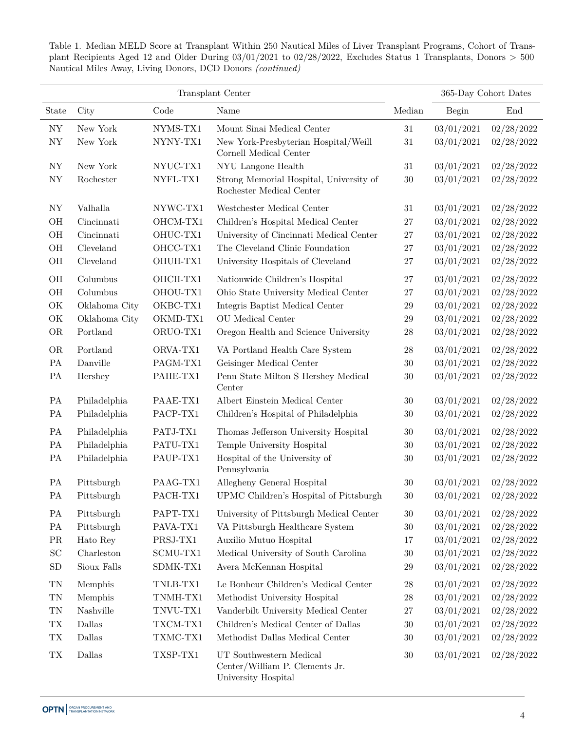Table 1. Median MELD Score at Transplant Within 250 Nautical Miles of Liver Transplant Programs, Cohort of Transplant Recipients Aged 12 and Older During 03/01/2021 to 02/28/2022, Excludes Status 1 Transplants, Donors > 500 Nautical Miles Away, Living Donors, DCD Donors *(continued)*

|            |               |                     | Transplant Center                                                                |                   |            | 365-Day Cohort Dates |
|------------|---------------|---------------------|----------------------------------------------------------------------------------|-------------------|------------|----------------------|
| State      | City          | Code                | Name                                                                             | Median            | Begin      | End                  |
| ${\rm NY}$ | New York      | NYMS-TX1            | Mount Sinai Medical Center                                                       | 31                | 03/01/2021 | 02/28/2022           |
| <b>NY</b>  | New York      | NYNY-TX1            | New York-Presbyterian Hospital/Weill<br>Cornell Medical Center                   | $31\,$            | 03/01/2021 | 02/28/2022           |
| ${\rm NY}$ | New York      | NYUC-TX1            | NYU Langone Health                                                               | $31\,$            | 03/01/2021 | 02/28/2022           |
| ${\rm NY}$ | Rochester     | NYFL-TX1            | Strong Memorial Hospital, University of<br>Rochester Medical Center              | $30\,$            | 03/01/2021 | 02/28/2022           |
| ${\rm NY}$ | Valhalla      | NYWC-TX1            | Westchester Medical Center                                                       | 31                | 03/01/2021 | 02/28/2022           |
| OH         | Cincinnati    | OHCM-TX1            | Children's Hospital Medical Center                                               | $27\,$            | 03/01/2021 | 02/28/2022           |
| $\rm OH$   | Cincinnati    | OHUC-TX1            | University of Cincinnati Medical Center                                          | 27                | 03/01/2021 | 02/28/2022           |
| $\rm OH$   | Cleveland     | OHCC-TX1            | The Cleveland Clinic Foundation                                                  | $27\,$            | 03/01/2021 | 02/28/2022           |
| $\rm OH$   | Cleveland     | OHUH-TX1            | University Hospitals of Cleveland                                                | 27                | 03/01/2021 | 02/28/2022           |
| $\rm OH$   | Columbus      | OHCH-TX1            | Nationwide Children's Hospital                                                   | 27                | 03/01/2021 | 02/28/2022           |
| $\rm OH$   | Columbus      | OHOU-TX1            | Ohio State University Medical Center                                             | $27\,$            | 03/01/2021 | 02/28/2022           |
| OK         | Oklahoma City | OKBC-TX1            | Integris Baptist Medical Center                                                  | $29\,$            | 03/01/2021 | 02/28/2022           |
| OK         | Oklahoma City | OKMD-TX1            | OU Medical Center                                                                | $\,29$            | 03/01/2021 | 02/28/2022           |
| <b>OR</b>  | Portland      | ORUO-TX1            | Oregon Health and Science University                                             | 28                | 03/01/2021 | 02/28/2022           |
| <b>OR</b>  | Portland      | ORVA-TX1            | VA Portland Health Care System                                                   | 28                | 03/01/2021 | 02/28/2022           |
| PA         | Danville      | PAGM-TX1            | Geisinger Medical Center                                                         | 30                | 03/01/2021 | 02/28/2022           |
| PA         | Hershey       | PAHE-TX1            | Penn State Milton S Hershey Medical<br>Center                                    | 30                | 03/01/2021 | 02/28/2022           |
| PA         | Philadelphia  | PAAE-TX1            | Albert Einstein Medical Center                                                   | 30                | 03/01/2021 | 02/28/2022           |
| PA         | Philadelphia  | PACP-TX1            | Children's Hospital of Philadelphia                                              | 30                | 03/01/2021 | 02/28/2022           |
| PA         | Philadelphia  | PATJ-TX1            | Thomas Jefferson University Hospital                                             | 30                | 03/01/2021 | 02/28/2022           |
| PA         | Philadelphia  | PATU-TX1            | Temple University Hospital                                                       | 30                | 03/01/2021 | 02/28/2022           |
| PA         | Philadelphia  | PAUP-TX1            | Hospital of the University of<br>Pennsylvania                                    | 30                | 03/01/2021 | 02/28/2022           |
| PA         | Pittsburgh    | PAAG-TX1            | Allegheny General Hospital                                                       | 30                | 03/01/2021 | 02/28/2022           |
| PA         | Pittsburgh    | PACH-TX1            | UPMC Children's Hospital of Pittsburgh                                           | $30\,$            | 03/01/2021 | $02/28/2022\,$       |
| PA         | Pittsburgh    | PAPT-TX1            | University of Pittsburgh Medical Center                                          | 30                | 03/01/2021 | 02/28/2022           |
| PA         | Pittsburgh    | PAVA-TX1            | VA Pittsburgh Healthcare System                                                  | 30                | 03/01/2021 | 02/28/2022           |
| PR         | Hato Rey      | $\textbf{PRSJ-TX1}$ | Auxilio Mutuo Hospital                                                           | 17                | 03/01/2021 | 02/28/2022           |
| SC         | Charleston    | SCMU-TX1            | Medical University of South Carolina                                             | $30\,$            | 03/01/2021 | 02/28/2022           |
| SD         | Sioux Falls   | SDMK-TX1            | Avera McKennan Hospital                                                          | 29                | 03/01/2021 | 02/28/2022           |
| TN         | Memphis       | TNLB-TX1            | Le Bonheur Children's Medical Center                                             | $\ensuremath{28}$ | 03/01/2021 | 02/28/2022           |
| TN         | Memphis       | TNMH-TX1            | Methodist University Hospital                                                    | $28\,$            | 03/01/2021 | 02/28/2022           |
| TN         | Nashville     | TNVU-TX1            | Vanderbilt University Medical Center                                             | $27\,$            | 03/01/2021 | 02/28/2022           |
| ${\rm TX}$ | Dallas        | TXCM-TX1            | Children's Medical Center of Dallas                                              | $30\,$            | 03/01/2021 | 02/28/2022           |
| ${\rm TX}$ | Dallas        | TXMC-TX1            | Methodist Dallas Medical Center                                                  | 30                | 03/01/2021 | 02/28/2022           |
| ${\rm TX}$ | Dallas        | TXSP-TX1            | UT Southwestern Medical<br>Center/William P. Clements Jr.<br>University Hospital | 30                | 03/01/2021 | 02/28/2022           |